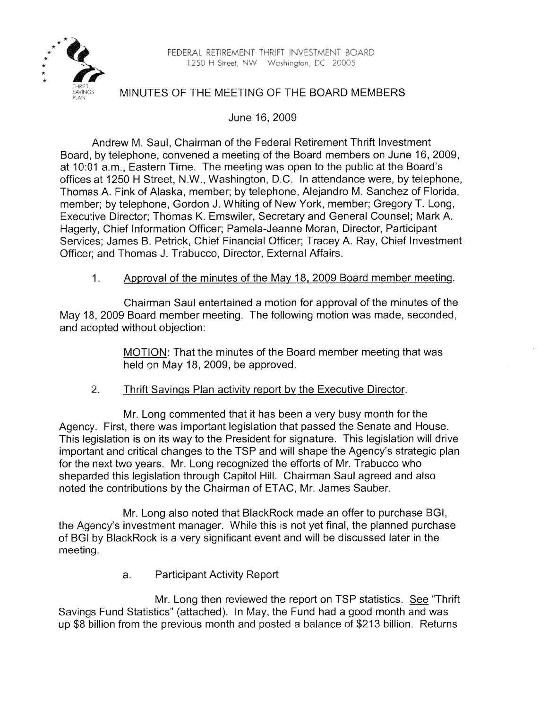\*:\*' \*% FEDEWL RETIREbAENT THRIFT IMdESTMEMT BQARD \* 1250 i-i Street, Nx& Wask~in~ron, DC 2C005 \*



## MINUTES OF THE MEETING OF THE BOARD MEMBERS

June 16,2009

Andrew M. Saul, Chairman of the Federal Retirement Thrift lnvestment Board, by telephone, convened a meeting of the Board members on June 16,2009, at 10:Ol a.m., Eastern Time. The meeting was open to the public at the Board's offices at 1250 H Street, N.W., Washington, D.C. In attendance were, by telephone, Thomas A. Fink of Alaska, member; by telephone, Alejandro M. Sanchez of Florida, member; by telephone, Gordon J. Whiting of New York, member; Gregory T. Long, Executive Director; Thomas K. Emswiler, Secretary and General Counsel; Mark A. Hagerty, Chief Information Officer; Pamela-Jeanne Moran, Director, Participant Services; James B. Petrick, Chief Financial Officer; Tracey A. Ray, Chief lnvestment Officer; and Thomas J. Trabucco, Director, External Affairs.

## 1. Approval of the minutes of the May 18, 2009 Board member meeting.

Chairman Saul entertained a motion for approval of the minutes of the May 18,2009 Board member meeting. The following motion was made, seconded, and adopted without objection:

> MOTION: That the minutes of the Board member meeting that was held on May 18, 2009, be approved.

## 2. Thrift Savings Plan activity report by the Executive Director.

Mr. Long commented that it has been a very busy month for the Agency. First, there was important legislation that passed the Senate and House. This legislation is on its way to the President for signature. This legislation will drive important and critical changes to the TSP and will shape the Agency's strategic plan for the next two years. Mr. Long recognized the efforts of Mr. Trabucco who sheparded this legislation through Capitol Hill. Chairman Saul agreed and also noted the contributions by the Chairman of ETAC, Mr. James Sauber.

Mr. Long also noted that BlackRock made an offer to purchase BGI, the Agency's investment manager. While this is not yet final, the planned purchase of BGI by BlackRock is a very significant event and will be discussed later in the meeting.

a. Participant Activity Report

Mr. Long then reviewed the report on TSP statistics. *See* "Thrift Savings Fund Statistics" (attached). In May, the Fund had a good month and was up \$8 billion from the previous month and posted a balance of \$213 billion. Returns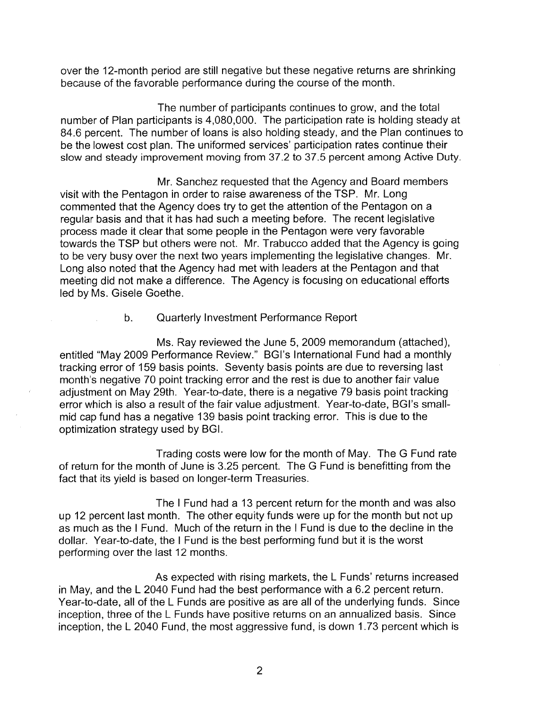over the 12-month period are still negative but these negative returns are shrinking because of the favorable performance during the course of the month.

The number of participants continues to grow, and the total number of Plan participants is 4,080,000. The participation rate is holding steady at 84.6 percent. The number of loans is also holding steady, and the Plan continues to be the lowest cost plan. The uniformed services' participation rates continue their slow and steady improvement moving from 37.2 to 37.5 percent among Active Duty.

Mr. Sanchez requested that the Agency and Board members visit with the Pentagon in order to raise awareness of the TSP. Mr. Long commented that the Agency does try to get the attention of the Pentagon on a regular basis and that it has had such a meeting before. The recent legislative process made it clear that some people in the Pentagon were very favorable towards the TSP but others were not. Mr. Trabucco added that the Agency is going to be very busy over the next two years implementing the legislative changes. Mr. Long also noted that the Agency had met with leaders at the Pentagon and that meeting did not make a difference. The Agency is focusing on educational efforts led by Ms. Gisele Goethe.

b. Quarterly Investment Performance Report

Ms. Ray reviewed the June 5,2009 memorandum (attached), entitled "May 2009 Performance Review." BGl's International Fund had a monthly tracking error of 159 basis points. Seventy basis points are due to reversing last month's negative 70 point tracking error and the rest is due to another fair value adjustment on May 29th. Year-to-date, there is a negative 79 basis point tracking error which is also a result of the fair value adjustment. Year-to-date, BGI's smallmid cap fund has a negative 139 basis point tracking error. This is due to the optimization strategy used by BGI.

Trading costs were low for the month of May. The G Fund rate of return for the month of June is 3.25 percent. The G Fund is benefitting from the fact that its yield is based on longer-term Treasuries.

The I Fund had a 13 percent return for the month and was also up 12 percent last month. The other equity funds were up for the month but not up as much as the I Fund. Much of the return in the I Fund is due to the decline in the dollar. Year-to-date, the I Fund is the best performing fund but it is the worst performing over the last 12 months.

As expected with rising markets, the L Funds' returns increased in May, and the L 2040 Fund had the best performance with a 6.2 percent return. Year-to-date, all of the L Funds are positive as are all of the underlying funds. Since inception, three of the L Funds have positive returns on an annualized basis. Since inception, the L 2040 Fund, the most aggressive fund, is down 1.73 percent which is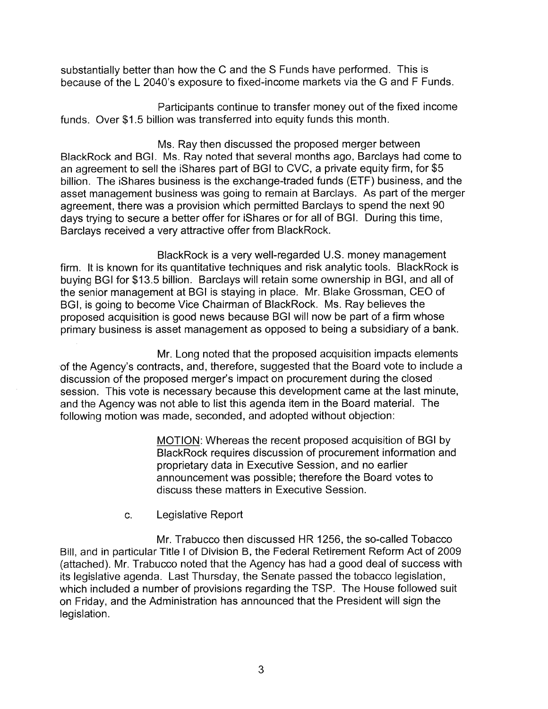substantially better than how the C and the S Funds have performed. This is because of the L 2040's exposure to fixed-income markets via the G and F Funds.

Participants continue to transfer money out of the fixed income funds. Over \$1.5 billion was transferred into equity funds this month.

Ms. Ray then discussed the proposed merger between BlackRock and BGI. Ms. Ray noted that several months ago, Barclays had come to an agreement to sell the iShares part of BGI to CVC, a private equity firm, for \$5 billion. The ishares business is the exchange-traded funds (ETF) business, and the asset management business was going to remain at Barclays. As part of the merger agreement, there was a provision which permitted Barclays to spend the next 90 days trying to secure a better offer for ishares or for all of BGI. During this time, Barclays received a very attractive offer from BlackRock.

BlackRock is a very well-regarded U.S. money management firm. It is known for its quantitative techniques and risk analytic tools. BlackRock is buying BGI for \$13.5 billion. Barclays will retain some ownership in BGI, and all of the senior management at BGI is staying in place. Mr. Blake Grossman, CEO of BGI, is going to become Vice Chairman of BlackRock. Ms. Ray believes the proposed acquisition is good news because BGI will now be part of a firm whose primary business is asset management as opposed to being a subsidiary of a bank.

Mr. Long noted that the proposed acquisition impacts elements of the Agency's contracts, and, therefore, suggested that the Board vote to include a discussion of the proposed merger's impact on procurement during the closed session. This vote is necessary because this development came at the last minute, and the Agency was not able to list this agenda item in the Board material. The following motion was made, seconded, and adopted without objection:

> MOTION: Whereas the recent proposed acquisition of BGI by BlackRock requires discussion of procurement information and proprietary data in Executive Session, and no earlier announcement was possible; therefore the Board votes to discuss these matters in Executive Session.

c. Legislative Report

Mr. Trabucco then discussed HR 1256, the so-called Tobacco Bill, and in particular Title I of Division B, the Federal Retirement Reform Act of 2009 (attached). Mr. Trabucco noted that the Agency has had a good deal of success with its legislative agenda. Last Thursday, the Senate passed the tobacco legislation, which included a number of provisions regarding the TSP. The House followed suit on Friday, and the Administration has announced that the President will sign the legislation.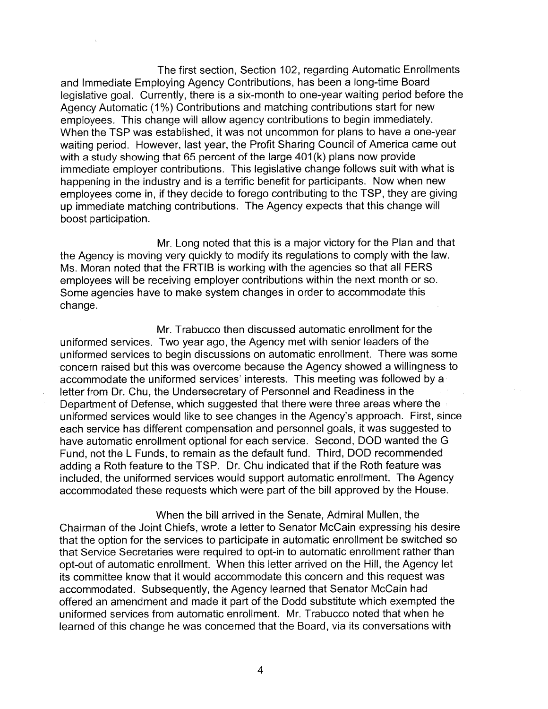The first section, Section 102, regarding Automatic Enrollments and Immediate Employing Agency Contributions, has been a long-time Board legislative goal. Currently, there is a six-month to one-year waiting period before the Agency Automatic (1%) Contributions and matching contributions start for new employees. This change wilt allow agency contributions to begin immediately. When the TSP was established, it was not uncommon for plans to have a one-year waiting period. However, last year, the Profit Sharing Council of America came out with a study showing that 65 percent of the large 401(k) plans now provide immediate employer contributions. This legislative change follows suit with what is happening in the industry and is a terrific benefit for participants. Mow when new employees come in, if they decide to forego contributing to the TSP, they are giving up immediate matching contributions. The Agency expects that this change will boost participation.

Mr. Long noted that this is a major victory for the Plan and that the Agency is moving very quickly to modify its regulations to comply with the law. Ms. Moran noted that the FRTlB is working with the agencies so that all FERS employees will be receiving employer contributions within the next month or so. Some agencies have to make system changes in order to accommodate this change.

Mr. Trabucco then discussed automatic enrollment for the uniformed services. Two year ago, the Agency met with senior leaders of the uniformed services to begin discussions on automatic enrollment. There was some concern raised but this was overcome because the Agency showed a willingness to accommodate the uniformed services' interests. This meeting was followed by a letter from Dr. Chu, the Undersecretary of Personnel and Readiness in the Department of Defense, which suggested that there were three areas where the uniformed services would like to see changes in the Agency's approach. First, since each service has different compensation and personnel goals, it was suggested to have automatic enrollment optional for each service. Second, DOD wanted the G Fund, not the L Funds, to remain as the default fund. Third, DOD recommended adding a Roth feature to the TSP. Dr. Chu indicated that if the Roth feature was included, the uniformed services would support automatic enrollment. The Agency accommodated these requests which were part of the bill approved by the House.

When the bill arrived in the Senate, Admiral Mullen, the Chairman of the Joint Chiefs, wrote a letter to Senator McCain expressing his desire that the option for the services to participate in automatic enrollment be switched so that Service Secretaries were required to opt-in to automatic enrollment rather than opt-out of automatic enrollment. When this letter arrived on the Hill, the Agency let its committee know that it would accommodate this concern and this request was accommodated. Subsequently, the Agency learned that Senator McCain had offered an amendment and made it part of the Dodd substitute which exempted the uniformed services from automatic enrollment. Mr. Trabucco noted that when he learned of this change he was concerned that the Board, via its conversations with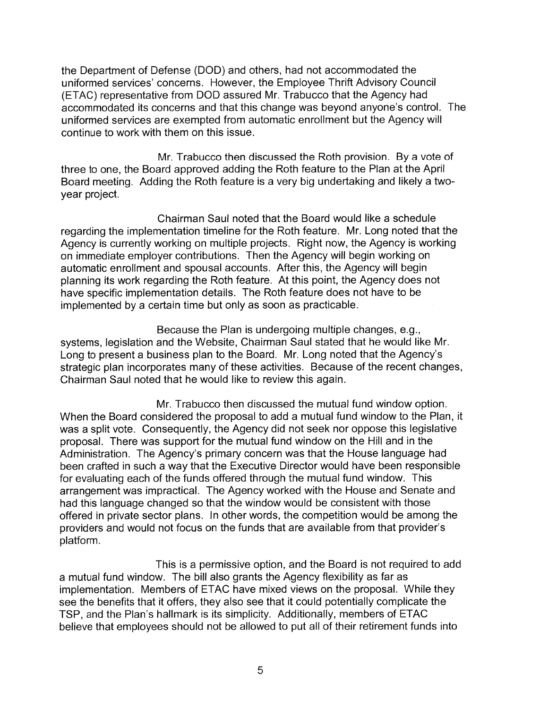the Department of Defense (DOD) and others, had not accommodated the uniformed services' concerns. However, the Employee Thrift Advisory Council (ETAC) representative from DOD assured Mr. Trabucco that the Agency had accommodated its concerns and that this change was beyond anyone's control. The uniformed services are exempted from automatic enrollment but the Agency will continue to work with them on this issue.

Mr. Trabucco then discussed the Roth provision. By a vote of three to one, the Board approved adding the Roth feature to the Plan at the April Board meeting. Adding the Roth feature is a very big undertaking and likely a twoyear project.

Chairman Saul noted that the Board would like a schedule regarding the implementation timeline for the Roth feature. Mr. Long noted that the Agency is currently working on multiple projects. Right now, the Agency is working on immediate employer contributions. Then the Agency will begin working on automatic enrollment and spousal accounts. After this, the Agency will begin planning its work regarding the Roth feature. At this point, the Agency does not have specific implementation details. The Roth feature does not have to be implemented by a certain time but only as soon as practicable.

Because the Plan is undergoing multiple changes, e.g., systems, legislation and the Website, Chairman Saul stated that he would like Mr. Long to present a business plan to the Board. Mr. Long noted that the Agency's strategic plan incorporates many of these activities. Because of the recent changes, Chairman Saul noted that he would like to review this again.

Mr. Trabucco then discussed the mutual fund window option. When the Board considered the proposal to add a mutual fund window to the Plan, it was a split vote. Consequently, the Agency did not seek nor oppose this legislative proposal. There was support for the mutual fund window on the Hill and in the Administration. The Agency's primary concern was that the House language had been crafted in such a way that the Executive Director would have been responsible for evaluating each of the funds offered through the mutual fund window. This arrangement was impractical. The Agency worked with the House and Senate and had this language changed so that the window would be consistent with those offered in private sector plans. In other words, the competition would be among the providers and would not focus on the funds that are available from that provider's platform.

This is a permissive option, and the Board is not required to add a mutual fund window. The bill also grants the Agency flexibility as far as implementation. Members of ETAC have mixed views on the proposal. While they see the benefits that it offers, they also see that it could potentially complicate the TSP, and the Plan's hallmark is its simplicity. Additionally, members of ETAC believe that employees should not be allowed to put all of their retirement funds into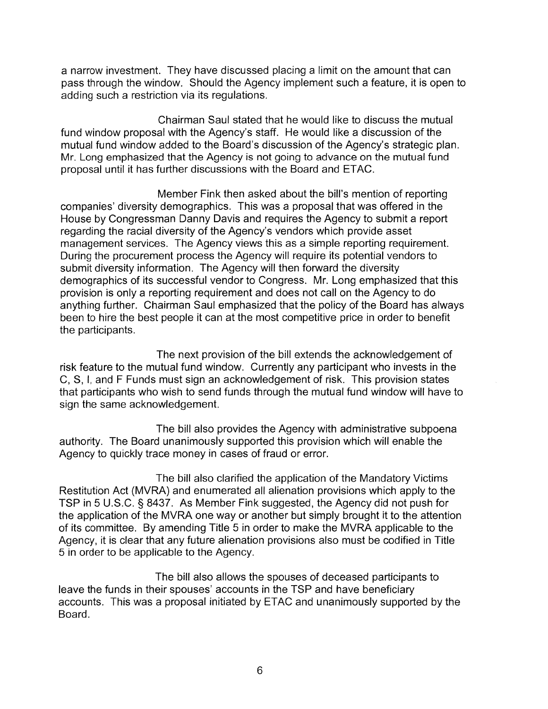a narrow investment. They have discussed placing a limit on the amount that can pass through the window. Should the Agency implement such a feature, it is open to adding such a restriction via its regulations.

Chairman Saul stated that he would like to discuss the mutual fund window proposal with the Agency's staff. He would like a discussion of the mutual fund window added to the Board's discussion of the Agency's strategic plan. Mr. Long emphasized that the Agency is not going to advance on the mutual fund proposal until it has further discussions with the Board and ETAC.

Member Fink then asked about the bill's mention of reporting companies' diversity demographics. This was a proposal that was offered in the House by Congressman Danny Davis and requires the Agency to submit a report regarding the racial diversity of the Agency's vendors which provide asset management services. The Agency views this as a simple reporting requirement. During the procurement process the Agency will require its potential vendors to submit diversity information. The Agency will then forward the diversity demographics of its successful vendor to Congress. Mr. Long emphasized that this provision is only a reporting requirement and does not call on the Agency to do anything further. Chairman Saul emphasized that the policy of the Board has always been to hire the best people it can at the most competitive price in order to benefit the participants.

The next provision of the bill extends the acknowledgement of risk feature to the mutual fund window. Currently any participant who invests in the C, S, I, and F Funds must sign an acknowledgement of risk. This provision states that participants who wish to send funds through the mutual fund window will have to sign the same acknowledgement.

The bill also provides the Agency with administrative subpoena authority. The Board unanimously supported this provision which will enable the Agency to quickly trace money in cases of fraud or error.

The bill also clarified the application of the Mandatory Victims Restitution Act (MVRA) and enumerated all alienation provisions which apply to the TSP in 5 U.S.C. § 8437. As Member Fink suggested, the Agency did not push for the application of the MVRA one way or another but simply brought it to the attention of its committee. By amending Title 5 in order to make the MVRA applicable to the Agency, it is clear that any future alienation provisions also must be codified in Title 5 in order to be applicable to the Agency.

The bill also allows the spouses of deceased participants to leave the funds in their spouses' accounts in the TSP and have beneficiary accounts. This was a proposal initiated by ETAC and unanimously supported by the Board.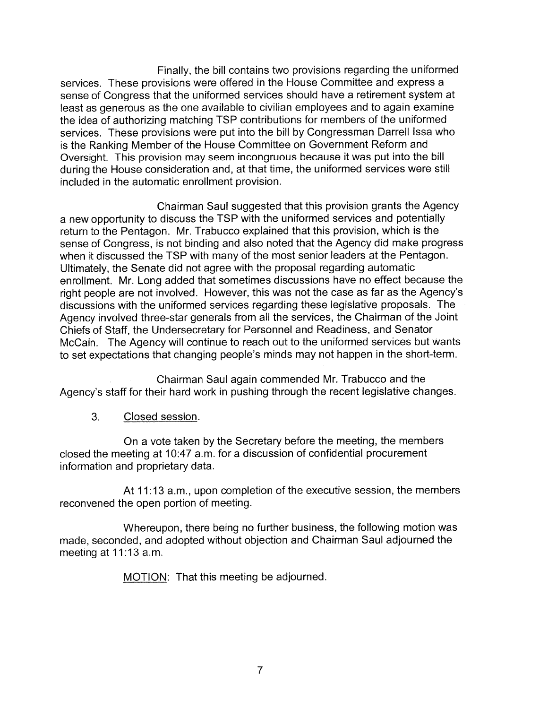Finally, the bill contains two provisions regarding the uniformed services. These provisions were offered in the House Committee and express a sense of Congress that the uniformed services should have a retirement system at least as generous as the one available to civilian employees and to again examine the idea of authorizing matching TSP contributions for members of the uniformed services. These provisions were put into the bill by Congressman Darrell Issa who is the Ranking Member of the House Committee on Government Reform and Oversight. This provision may seem incongruous because it was put into the bill during the House consideration and, at that time, the uniformed services were still included in the automatic enrollment provision.

Chairman Saul suggested that this provision grants the Agency a new opportunity to discuss the TSP with the uniformed services and potentially return to the Pentagon. Mr. Trabucco explained that this provision, which is the sense of Congress, is not binding and also noted that the Agency did make progress when it discussed the TSP with many of the most senior leaders at the Pentagon. Ultimately, the Senate did not agree with the proposal regarding automatic enrollment. Mr. Long added that sometimes discussions have no effect because the right people are not involved. However, this was not the case as far as the Agency's discussions with the uniformed services regarding these legislative proposals. The Agency involved three-star generals from all the services, the Chairman of the Joint Chiefs of Staff, the Undersecretary for Personnel and Readiness, and Senator McCain. The Agency will continue to reach out to the uniformed services but wants to set expectations that changing people's minds may not happen in the short-term.

Chairman Saul again commended Mr. Trabucco and the Agency's staff for their hard work in pushing through the recent legislative changes.

3. Closed session.

On a vote taken by the Secretary before the meeting, the members closed the meeting at 10:47 a.m. for a discussion of confidential procurement information and proprietary data.

At 11:13 a.m., upon completion of the executive session, the members reconvened the open portion of meeting.

Whereupon, there being no further business, the following motion was made, seconded, and adopted without objection and Chairman Saul adjourned the meeting at 11:13 a.m.

MOTION: That this meeting be adjourned.